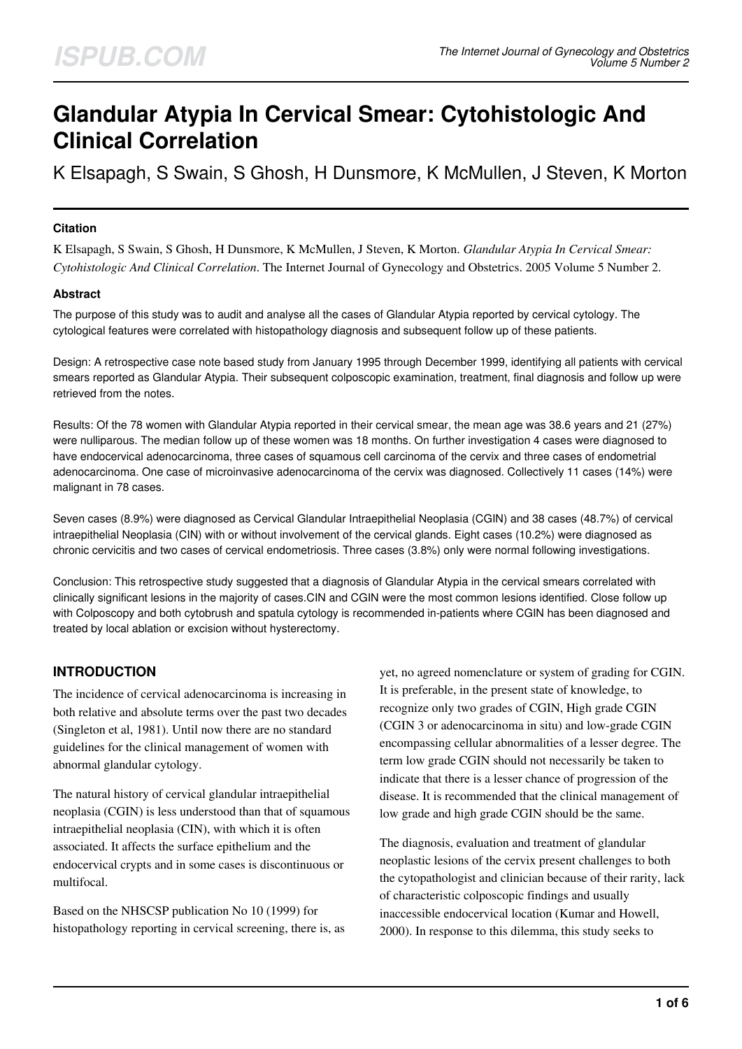# **Glandular Atypia In Cervical Smear: Cytohistologic And Clinical Correlation**

K Elsapagh, S Swain, S Ghosh, H Dunsmore, K McMullen, J Steven, K Morton

#### **Citation**

K Elsapagh, S Swain, S Ghosh, H Dunsmore, K McMullen, J Steven, K Morton. *Glandular Atypia In Cervical Smear: Cytohistologic And Clinical Correlation*. The Internet Journal of Gynecology and Obstetrics. 2005 Volume 5 Number 2.

#### **Abstract**

The purpose of this study was to audit and analyse all the cases of Glandular Atypia reported by cervical cytology. The cytological features were correlated with histopathology diagnosis and subsequent follow up of these patients.

Design: A retrospective case note based study from January 1995 through December 1999, identifying all patients with cervical smears reported as Glandular Atypia. Their subsequent colposcopic examination, treatment, final diagnosis and follow up were retrieved from the notes.

Results: Of the 78 women with Glandular Atypia reported in their cervical smear, the mean age was 38.6 years and 21 (27%) were nulliparous. The median follow up of these women was 18 months. On further investigation 4 cases were diagnosed to have endocervical adenocarcinoma, three cases of squamous cell carcinoma of the cervix and three cases of endometrial adenocarcinoma. One case of microinvasive adenocarcinoma of the cervix was diagnosed. Collectively 11 cases (14%) were malignant in 78 cases.

Seven cases (8.9%) were diagnosed as Cervical Glandular Intraepithelial Neoplasia (CGIN) and 38 cases (48.7%) of cervical intraepithelial Neoplasia (CIN) with or without involvement of the cervical glands. Eight cases (10.2%) were diagnosed as chronic cervicitis and two cases of cervical endometriosis. Three cases (3.8%) only were normal following investigations.

Conclusion: This retrospective study suggested that a diagnosis of Glandular Atypia in the cervical smears correlated with clinically significant lesions in the majority of cases.CIN and CGIN were the most common lesions identified. Close follow up with Colposcopy and both cytobrush and spatula cytology is recommended in-patients where CGIN has been diagnosed and treated by local ablation or excision without hysterectomy.

# **INTRODUCTION**

The incidence of cervical adenocarcinoma is increasing in both relative and absolute terms over the past two decades (Singleton et al, 1981). Until now there are no standard guidelines for the clinical management of women with abnormal glandular cytology.

The natural history of cervical glandular intraepithelial neoplasia (CGIN) is less understood than that of squamous intraepithelial neoplasia (CIN), with which it is often associated. It affects the surface epithelium and the endocervical crypts and in some cases is discontinuous or multifocal.

Based on the NHSCSP publication No 10 (1999) for histopathology reporting in cervical screening, there is, as yet, no agreed nomenclature or system of grading for CGIN. It is preferable, in the present state of knowledge, to recognize only two grades of CGIN, High grade CGIN (CGIN 3 or adenocarcinoma in situ) and low-grade CGIN encompassing cellular abnormalities of a lesser degree. The term low grade CGIN should not necessarily be taken to indicate that there is a lesser chance of progression of the disease. It is recommended that the clinical management of low grade and high grade CGIN should be the same.

The diagnosis, evaluation and treatment of glandular neoplastic lesions of the cervix present challenges to both the cytopathologist and clinician because of their rarity, lack of characteristic colposcopic findings and usually inaccessible endocervical location (Kumar and Howell, 2000). In response to this dilemma, this study seeks to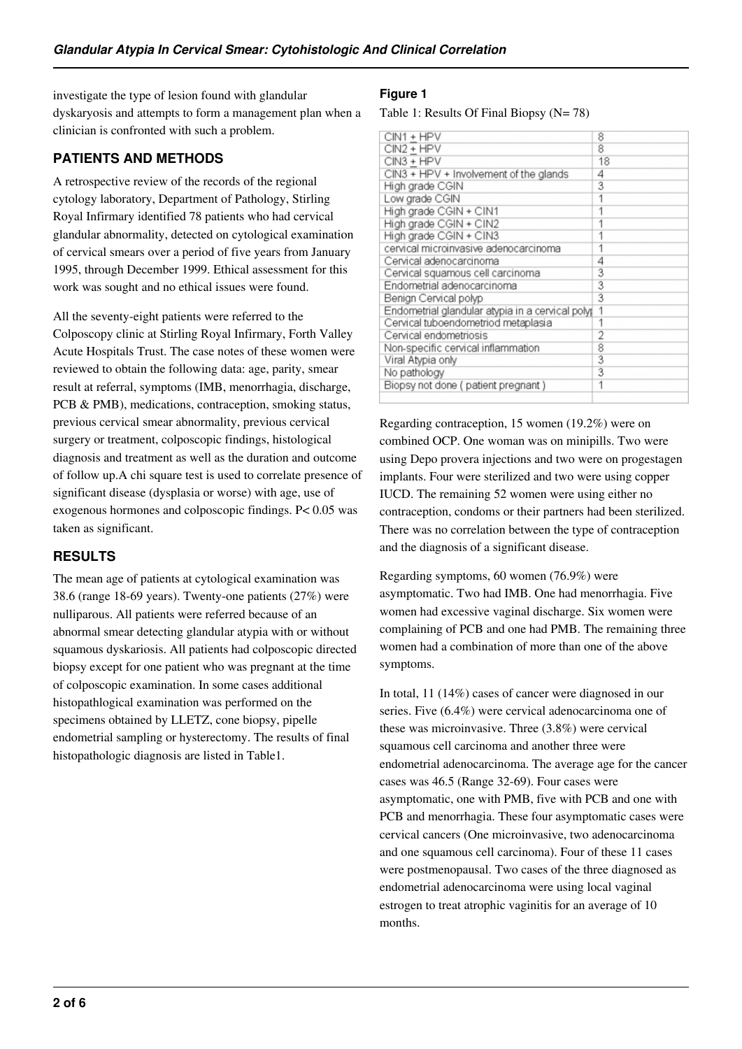investigate the type of lesion found with glandular dyskaryosis and attempts to form a management plan when a clinician is confronted with such a problem.

## **PATIENTS AND METHODS**

A retrospective review of the records of the regional cytology laboratory, Department of Pathology, Stirling Royal Infirmary identified 78 patients who had cervical glandular abnormality, detected on cytological examination of cervical smears over a period of five years from January 1995, through December 1999. Ethical assessment for this work was sought and no ethical issues were found.

All the seventy-eight patients were referred to the Colposcopy clinic at Stirling Royal Infirmary, Forth Valley Acute Hospitals Trust. The case notes of these women were reviewed to obtain the following data: age, parity, smear result at referral, symptoms (IMB, menorrhagia, discharge, PCB & PMB), medications, contraception, smoking status, previous cervical smear abnormality, previous cervical surgery or treatment, colposcopic findings, histological diagnosis and treatment as well as the duration and outcome of follow up.A chi square test is used to correlate presence of significant disease (dysplasia or worse) with age, use of exogenous hormones and colposcopic findings. P< 0.05 was taken as significant.

## **RESULTS**

The mean age of patients at cytological examination was 38.6 (range 18-69 years). Twenty-one patients (27%) were nulliparous. All patients were referred because of an abnormal smear detecting glandular atypia with or without squamous dyskariosis. All patients had colposcopic directed biopsy except for one patient who was pregnant at the time of colposcopic examination. In some cases additional histopathlogical examination was performed on the specimens obtained by LLETZ, cone biopsy, pipelle endometrial sampling or hysterectomy. The results of final histopathologic diagnosis are listed in Table1.

#### **Figure 1**

Table 1: Results Of Final Biopsy (N= 78)

| CIN1 + HPV                                       | 8  |
|--------------------------------------------------|----|
| CIN2 + HPV                                       | 8  |
| CIN3 + HPV                                       | 18 |
| CIN3 + HPV + Involvement of the glands           | 4  |
| High grade CGIN                                  | 3  |
| Low grade CGIN                                   |    |
| High grade CGIN + CIN1                           |    |
| High grade CGIN + CIN2                           |    |
| High grade CGIN + CIN3                           |    |
| cervical microinvasive adenocarcinoma            |    |
| Cervical adenocarcinoma                          | 4  |
| Cervical squamous cell carcinoma                 | 3  |
| Endometrial adenocarcinoma                       | 3  |
| Benign Cervical polyp                            | 3  |
| Endometrial glandular atypia in a cervical polyp | 1  |
| Cervical tuboendometriod metaplasia              |    |
| Cervical endometriosis                           | 2  |
| Non-specific cervical inflammation               | 8  |
| Viral Atypia only                                | 3  |
| No pathology                                     | 3  |
| Biopsy not done (patient pregnant)               | 1  |
|                                                  |    |

Regarding contraception, 15 women (19.2%) were on combined OCP. One woman was on minipills. Two were using Depo provera injections and two were on progestagen implants. Four were sterilized and two were using copper IUCD. The remaining 52 women were using either no contraception, condoms or their partners had been sterilized. There was no correlation between the type of contraception and the diagnosis of a significant disease.

Regarding symptoms, 60 women (76.9%) were asymptomatic. Two had IMB. One had menorrhagia. Five women had excessive vaginal discharge. Six women were complaining of PCB and one had PMB. The remaining three women had a combination of more than one of the above symptoms.

In total, 11 (14%) cases of cancer were diagnosed in our series. Five (6.4%) were cervical adenocarcinoma one of these was microinvasive. Three (3.8%) were cervical squamous cell carcinoma and another three were endometrial adenocarcinoma. The average age for the cancer cases was 46.5 (Range 32-69). Four cases were asymptomatic, one with PMB, five with PCB and one with PCB and menorrhagia. These four asymptomatic cases were cervical cancers (One microinvasive, two adenocarcinoma and one squamous cell carcinoma). Four of these 11 cases were postmenopausal. Two cases of the three diagnosed as endometrial adenocarcinoma were using local vaginal estrogen to treat atrophic vaginitis for an average of 10 months.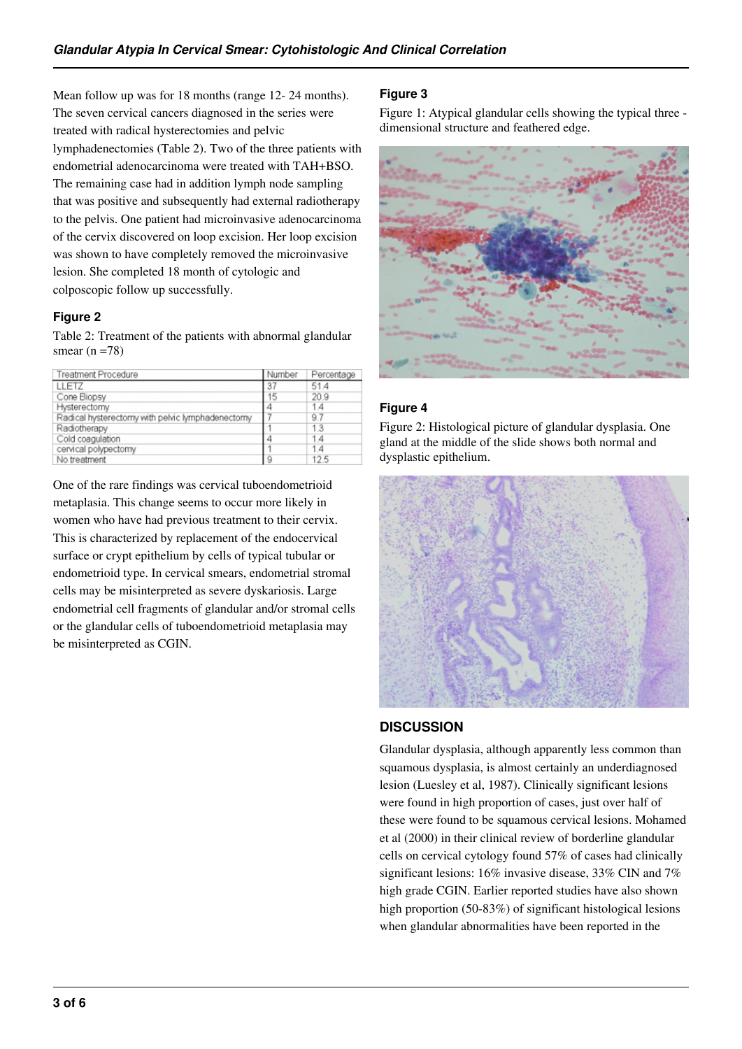Mean follow up was for 18 months (range 12- 24 months). The seven cervical cancers diagnosed in the series were treated with radical hysterectomies and pelvic lymphadenectomies (Table 2). Two of the three patients with endometrial adenocarcinoma were treated with TAH+BSO. The remaining case had in addition lymph node sampling that was positive and subsequently had external radiotherapy to the pelvis. One patient had microinvasive adenocarcinoma of the cervix discovered on loop excision. Her loop excision was shown to have completely removed the microinvasive lesion. She completed 18 month of cytologic and colposcopic follow up successfully.

## **Figure 2**

Table 2: Treatment of the patients with abnormal glandular smear  $(n = 78)$ 

| Treatment Procedure                              | Number | Percentage |
|--------------------------------------------------|--------|------------|
| LLETZ                                            | 37     | 51.4       |
| Cone Biopsy                                      | 15     | 20.9       |
| Hysterectomy                                     | 4      | 14         |
| Radical hysterectomy with pelvic lymphadenectomy |        | 9.7        |
| Radiotherapy                                     |        | 13         |
| Cold coagulation                                 | 4      | 1.4        |
| cervical polypectomy                             |        | 14         |
| No treatment                                     | 9      | 12.5       |

One of the rare findings was cervical tuboendometrioid metaplasia. This change seems to occur more likely in women who have had previous treatment to their cervix. This is characterized by replacement of the endocervical surface or crypt epithelium by cells of typical tubular or endometrioid type. In cervical smears, endometrial stromal cells may be misinterpreted as severe dyskariosis. Large endometrial cell fragments of glandular and/or stromal cells or the glandular cells of tuboendometrioid metaplasia may be misinterpreted as CGIN.

# **Figure 3**

Figure 1: Atypical glandular cells showing the typical three dimensional structure and feathered edge.



# **Figure 4**

Figure 2: Histological picture of glandular dysplasia. One gland at the middle of the slide shows both normal and dysplastic epithelium.



## **DISCUSSION**

Glandular dysplasia, although apparently less common than squamous dysplasia, is almost certainly an underdiagnosed lesion (Luesley et al, 1987). Clinically significant lesions were found in high proportion of cases, just over half of these were found to be squamous cervical lesions. Mohamed et al (2000) in their clinical review of borderline glandular cells on cervical cytology found 57% of cases had clinically significant lesions: 16% invasive disease, 33% CIN and 7% high grade CGIN. Earlier reported studies have also shown high proportion (50-83%) of significant histological lesions when glandular abnormalities have been reported in the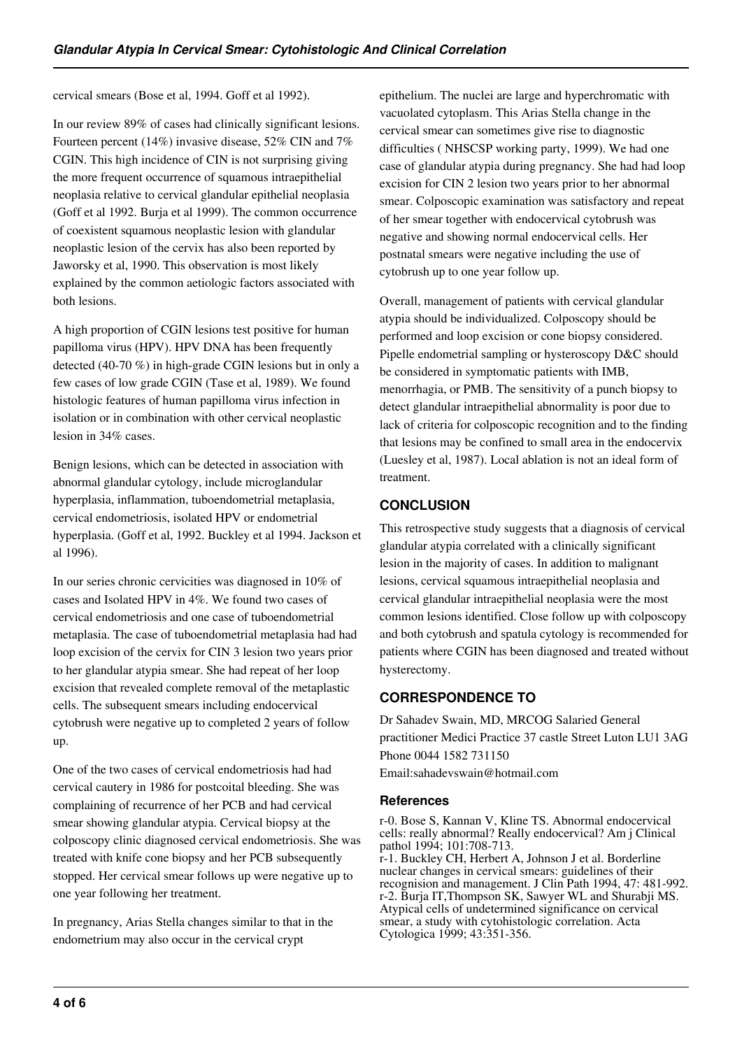cervical smears (Bose et al, 1994. Goff et al 1992).

In our review 89% of cases had clinically significant lesions. Fourteen percent (14%) invasive disease, 52% CIN and 7% CGIN. This high incidence of CIN is not surprising giving the more frequent occurrence of squamous intraepithelial neoplasia relative to cervical glandular epithelial neoplasia (Goff et al 1992. Burja et al 1999). The common occurrence of coexistent squamous neoplastic lesion with glandular neoplastic lesion of the cervix has also been reported by Jaworsky et al, 1990. This observation is most likely explained by the common aetiologic factors associated with both lesions.

A high proportion of CGIN lesions test positive for human papilloma virus (HPV). HPV DNA has been frequently detected (40-70 %) in high-grade CGIN lesions but in only a few cases of low grade CGIN (Tase et al, 1989). We found histologic features of human papilloma virus infection in isolation or in combination with other cervical neoplastic lesion in 34% cases.

Benign lesions, which can be detected in association with abnormal glandular cytology, include microglandular hyperplasia, inflammation, tuboendometrial metaplasia, cervical endometriosis, isolated HPV or endometrial hyperplasia. (Goff et al, 1992. Buckley et al 1994. Jackson et al 1996).

In our series chronic cervicities was diagnosed in 10% of cases and Isolated HPV in 4%. We found two cases of cervical endometriosis and one case of tuboendometrial metaplasia. The case of tuboendometrial metaplasia had had loop excision of the cervix for CIN 3 lesion two years prior to her glandular atypia smear. She had repeat of her loop excision that revealed complete removal of the metaplastic cells. The subsequent smears including endocervical cytobrush were negative up to completed 2 years of follow up.

One of the two cases of cervical endometriosis had had cervical cautery in 1986 for postcoital bleeding. She was complaining of recurrence of her PCB and had cervical smear showing glandular atypia. Cervical biopsy at the colposcopy clinic diagnosed cervical endometriosis. She was treated with knife cone biopsy and her PCB subsequently stopped. Her cervical smear follows up were negative up to one year following her treatment.

In pregnancy, Arias Stella changes similar to that in the endometrium may also occur in the cervical crypt

epithelium. The nuclei are large and hyperchromatic with vacuolated cytoplasm. This Arias Stella change in the cervical smear can sometimes give rise to diagnostic difficulties ( NHSCSP working party, 1999). We had one case of glandular atypia during pregnancy. She had had loop excision for CIN 2 lesion two years prior to her abnormal smear. Colposcopic examination was satisfactory and repeat of her smear together with endocervical cytobrush was negative and showing normal endocervical cells. Her postnatal smears were negative including the use of cytobrush up to one year follow up.

Overall, management of patients with cervical glandular atypia should be individualized. Colposcopy should be performed and loop excision or cone biopsy considered. Pipelle endometrial sampling or hysteroscopy D&C should be considered in symptomatic patients with IMB, menorrhagia, or PMB. The sensitivity of a punch biopsy to detect glandular intraepithelial abnormality is poor due to lack of criteria for colposcopic recognition and to the finding that lesions may be confined to small area in the endocervix (Luesley et al, 1987). Local ablation is not an ideal form of treatment.

## **CONCLUSION**

This retrospective study suggests that a diagnosis of cervical glandular atypia correlated with a clinically significant lesion in the majority of cases. In addition to malignant lesions, cervical squamous intraepithelial neoplasia and cervical glandular intraepithelial neoplasia were the most common lesions identified. Close follow up with colposcopy and both cytobrush and spatula cytology is recommended for patients where CGIN has been diagnosed and treated without hysterectomy.

# **CORRESPONDENCE TO**

Dr Sahadev Swain, MD, MRCOG Salaried General practitioner Medici Practice 37 castle Street Luton LU1 3AG Phone 0044 1582 731150 Email:sahadevswain@hotmail.com

## **References**

r-0. Bose S, Kannan V, Kline TS. Abnormal endocervical cells: really abnormal? Really endocervical? Am j Clinical pathol 1994; 101:708-713. r-1. Buckley CH, Herbert A, Johnson J et al. Borderline nuclear changes in cervical smears: guidelines of their recognision and management. J Clin Path 1994, 47: 481-992. r-2. Burja IT,Thompson SK, Sawyer WL and Shurabji MS. Atypical cells of undetermined significance on cervical smear, a study with cytohistologic correlation. Acta Cytologica 1999; 43:351-356.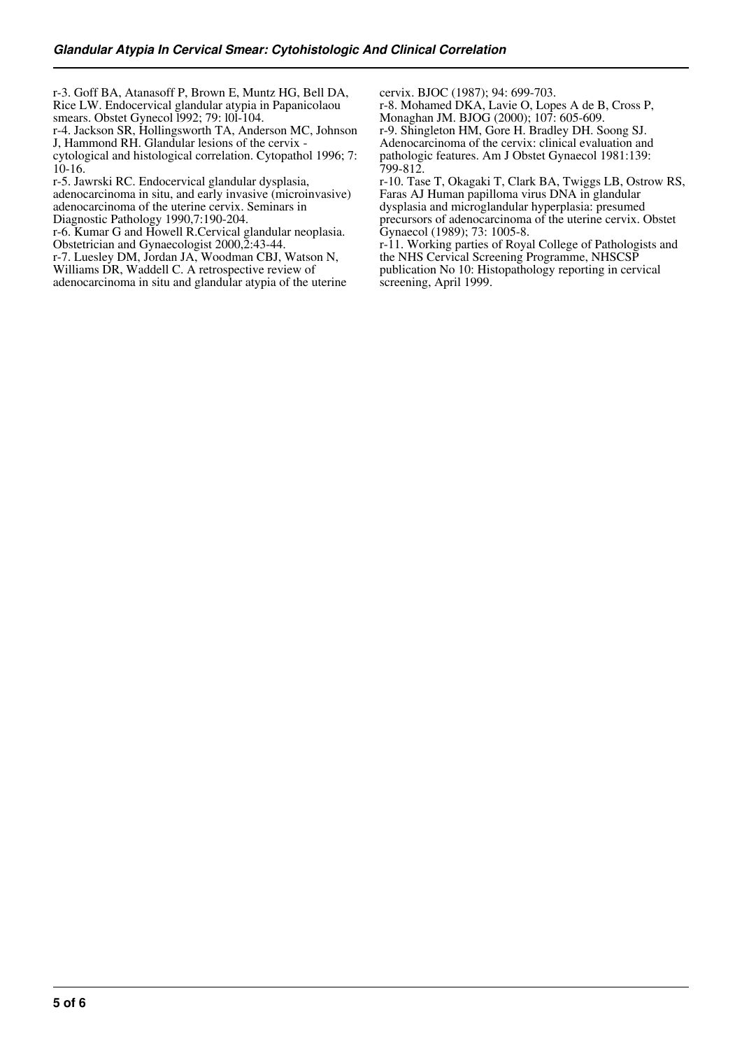r-3. Goff BA, Atanasoff P, Brown E, Muntz HG, Bell DA, Rice LW. Endocervical glandular atypia in Papanicolaou smears. Obstet Gynecol l992; 79: l0l-104.

r-4. Jackson SR, Hollingsworth TA, Anderson MC, Johnson J, Hammond RH. Glandular lesions of the cervix -

cytological and histological correlation. Cytopathol 1996; 7: 10-16.

r-5. Jawrski RC. Endocervical glandular dysplasia,

adenocarcinoma in situ, and early invasive (microinvasive) adenocarcinoma of the uterine cervix. Seminars in

Diagnostic Pathology 1990,7:190-204.

r-6. Kumar G and Howell R.Cervical glandular neoplasia. Obstetrician and Gynaecologist 2000, 2:43-44.

r-7. Luesley DM, Jordan JA, Woodman CBJ, Watson N,

Williams DR, Waddell C. A retrospective review of

adenocarcinoma in situ and glandular atypia of the uterine

cervix. BJOC (1987); 94: 699-703.

r-8. Mohamed DKA, Lavie O, Lopes A de B, Cross P, Monaghan JM. BJOG (2000); 107: 605-609.

r-9. Shingleton HM, Gore H. Bradley DH. Soong SJ. Adenocarcinoma of the cervix: clinical evaluation and pathologic features. Am J Obstet Gynaecol 1981:139: 799-812.

r-10. Tase T, Okagaki T, Clark BA, Twiggs LB, Ostrow RS, Faras AJ Human papilloma virus DNA in glandular dysplasia and microglandular hyperplasia: presumed precursors of adenocarcinoma of the uterine cervix. Obstet Gynaecol (1989); 73: 1005-8.

r-11. Working parties of Royal College of Pathologists and the NHS Cervical Screening Programme, NHSCSP publication No 10: Histopathology reporting in cervical screening, April 1999.